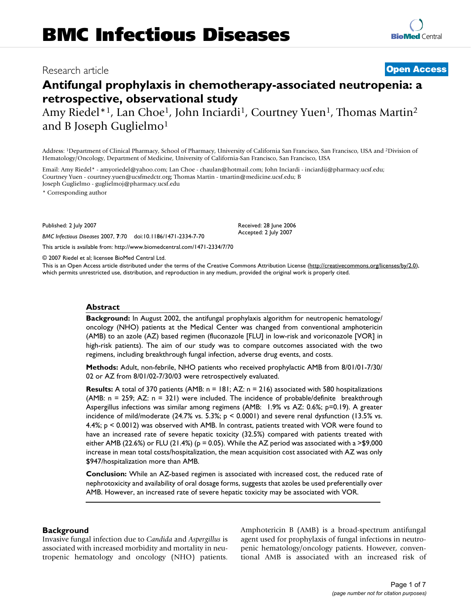# Research article **[Open Access](http://www.biomedcentral.com/info/about/charter/)**

# **Antifungal prophylaxis in chemotherapy-associated neutropenia: a retrospective, observational study**

Amy Riedel\*<sup>1</sup>, Lan Choe<sup>1</sup>, John Inciardi<sup>1</sup>, Courtney Yuen<sup>1</sup>, Thomas Martin<sup>2</sup> and B Joseph Guglielmo1

Address: 1Department of Clinical Pharmacy, School of Pharmacy, University of California San Francisco, San Francisco, USA and 2Division of Hematology/Oncology, Department of Medicine, University of California-San Francisco, San Francisco, USA

Email: Amy Riedel\* - amyoriedel@yahoo.com; Lan Choe - chaulan@hotmail.com; John Inciardi - inciardij@pharmacy.ucsf.edu; Courtney Yuen - courtney.yuen@ucsfmedctr.org; Thomas Martin - tmartin@medicine.ucsf.edu; B Joseph Guglielmo - guglielmoj@pharmacy.ucsf.edu

\* Corresponding author

Published: 2 July 2007

*BMC Infectious Diseases* 2007, **7**:70 doi:10.1186/1471-2334-7-70

[This article is available from: http://www.biomedcentral.com/1471-2334/7/70](http://www.biomedcentral.com/1471-2334/7/70)

© 2007 Riedel et al; licensee BioMed Central Ltd.

This is an Open Access article distributed under the terms of the Creative Commons Attribution License [\(http://creativecommons.org/licenses/by/2.0\)](http://creativecommons.org/licenses/by/2.0), which permits unrestricted use, distribution, and reproduction in any medium, provided the original work is properly cited.

Received: 28 June 2006 Accepted: 2 July 2007

#### **Abstract**

**Background:** In August 2002, the antifungal prophylaxis algorithm for neutropenic hematology/ oncology (NHO) patients at the Medical Center was changed from conventional amphotericin (AMB) to an azole (AZ) based regimen (fluconazole [FLU] in low-risk and voriconazole [VOR] in high-risk patients). The aim of our study was to compare outcomes associated with the two regimens, including breakthrough fungal infection, adverse drug events, and costs.

**Methods:** Adult, non-febrile, NHO patients who received prophylactic AMB from 8/01/01-7/30/ 02 or AZ from 8/01/02-7/30/03 were retrospectively evaluated.

**Results:** A total of 370 patients (AMB: n = 181; AZ: n = 216) associated with 580 hospitalizations (AMB: n = 259; AZ: n = 321) were included. The incidence of probable/definite breakthrough Aspergillus infections was similar among regimens (AMB: 1.9% vs AZ: 0.6%; p=0.19). A greater incidence of mild/moderate (24.7% vs. 5.3%;  $p \le 0.0001$ ) and severe renal dysfunction (13.5% vs. 4.4%; p < 0.0012) was observed with AMB. In contrast, patients treated with VOR were found to have an increased rate of severe hepatic toxicity (32.5%) compared with patients treated with either AMB (22.6%) or FLU (21.4%) ( $p = 0.05$ ). While the AZ period was associated with a  $>$ \$9,000 increase in mean total costs/hospitalization, the mean acquisition cost associated with AZ was only \$947/hospitalization more than AMB.

**Conclusion:** While an AZ-based regimen is associated with increased cost, the reduced rate of nephrotoxicity and availability of oral dosage forms, suggests that azoles be used preferentially over AMB. However, an increased rate of severe hepatic toxicity may be associated with VOR.

### **Background**

Invasive fungal infection due to *Candida* and *Aspergillus* is associated with increased morbidity and mortality in neutropenic hematology and oncology (NHO) patients. Amphotericin B (AMB) is a broad-spectrum antifungal agent used for prophylaxis of fungal infections in neutropenic hematology/oncology patients. However, conventional AMB is associated with an increased risk of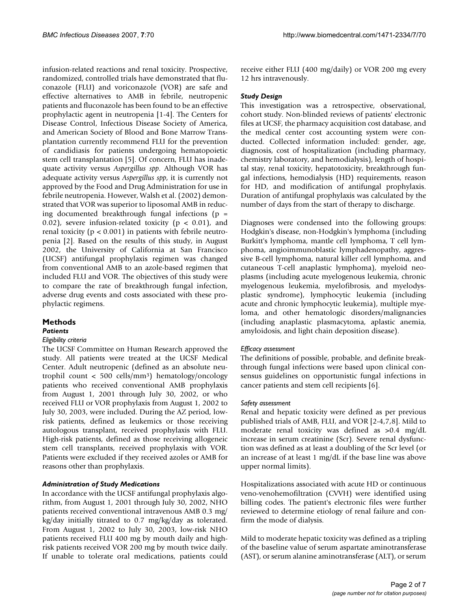infusion-related reactions and renal toxicity. Prospective, randomized, controlled trials have demonstrated that fluconazole (FLU) and voriconazole (VOR) are safe and effective alternatives to AMB in febrile, neutropenic patients and fluconazole has been found to be an effective prophylactic agent in neutropenia [1-4]. The Centers for Disease Control, Infectious Disease Society of America, and American Society of Blood and Bone Marrow Transplantation currently recommend FLU for the prevention of candidiasis for patients undergoing hematopoietic stem cell transplantation [5]. Of concern, FLU has inadequate activity versus *Aspergillus spp*. Although VOR has adequate activity versus *Aspergillus spp*, it is currently not approved by the Food and Drug Administration for use in febrile neutropenia. However, Walsh et al. (2002) demonstrated that VOR was superior to liposomal AMB in reducing documented breakthrough fungal infections ( $p =$ 0.02), severe infusion-related toxicity ( $p < 0.01$ ), and renal toxicity ( $p < 0.001$ ) in patients with febrile neutropenia [2]. Based on the results of this study, in August 2002, the University of California at San Francisco (UCSF) antifungal prophylaxis regimen was changed from conventional AMB to an azole-based regimen that included FLU and VOR. The objectives of this study were to compare the rate of breakthrough fungal infection, adverse drug events and costs associated with these prophylactic regimens.

## **Methods**

#### *Patients*

#### *Eligibility criteria*

The UCSF Committee on Human Research approved the study. All patients were treated at the UCSF Medical Center. Adult neutropenic (defined as an absolute neutrophil count  $\langle$  500 cells/mm<sup>3</sup>) hematology/oncology patients who received conventional AMB prophylaxis from August 1, 2001 through July 30, 2002, or who received FLU or VOR prophylaxis from August 1, 2002 to July 30, 2003, were included. During the AZ period, lowrisk patients, defined as leukemics or those receiving autologous transplant, received prophylaxis with FLU. High-risk patients, defined as those receiving allogeneic stem cell transplants, received prophylaxis with VOR. Patients were excluded if they received azoles or AMB for reasons other than prophylaxis.

#### *Administration of Study Medications*

In accordance with the UCSF antifungal prophylaxis algorithm, from August 1, 2001 through July 30, 2002, NHO patients received conventional intravenous AMB 0.3 mg/ kg/day initially titrated to 0.7 mg/kg/day as tolerated. From August 1, 2002 to July 30, 2003, low-risk NHO patients received FLU 400 mg by mouth daily and highrisk patients received VOR 200 mg by mouth twice daily. If unable to tolerate oral medications, patients could receive either FLU (400 mg/daily) or VOR 200 mg every 12 hrs intravenously.

#### *Study Design*

This investigation was a retrospective, observational, cohort study. Non-blinded reviews of patients' electronic files at UCSF, the pharmacy acquisition cost database, and the medical center cost accounting system were conducted. Collected information included: gender, age, diagnosis, cost of hospitalization (including pharmacy, chemistry laboratory, and hemodialysis), length of hospital stay, renal toxicity, hepatotoxicity, breakthrough fungal infections, hemodialysis (HD) requirements, reason for HD, and modification of antifungal prophylaxis. Duration of antifungal prophylaxis was calculated by the number of days from the start of therapy to discharge.

Diagnoses were condensed into the following groups: Hodgkin's disease, non-Hodgkin's lymphoma (including Burkitt's lymphoma, mantle cell lymphoma, T cell lymphoma, angioimmunoblastic lymphadenopathy, aggressive B-cell lymphoma, natural killer cell lymphoma, and cutaneous T-cell anaplastic lymphoma), myeloid neoplasms (including acute myelogenous leukemia, chronic myelogenous leukemia, myelofibrosis, and myelodysplastic syndrome), lymphocytic leukemia (including acute and chronic lymphocytic leukemia), multiple myeloma, and other hematologic disorders/malignancies (including anaplastic plasmacytoma, aplastic anemia, amyloidosis, and light chain deposition disease).

#### *Efficacy assessment*

The definitions of possible, probable, and definite breakthrough fungal infections were based upon clinical consensus guidelines on opportunistic fungal infections in cancer patients and stem cell recipients [6].

#### *Safety assessment*

Renal and hepatic toxicity were defined as per previous published trials of AMB, FLU, and VOR [2-4,7,8]. Mild to moderate renal toxicity was defined as >0.4 mg/dL increase in serum creatinine (Scr). Severe renal dysfunction was defined as at least a doubling of the Scr level (or an increase of at least 1 mg/dL if the base line was above upper normal limits).

Hospitalizations associated with acute HD or continuous veno-venohemofiltration (CVVH) were identified using billing codes. The patient's electronic files were further reviewed to determine etiology of renal failure and confirm the mode of dialysis.

Mild to moderate hepatic toxicity was defined as a tripling of the baseline value of serum aspartate aminotransferase (AST), or serum alanine aminotransferase (ALT), or serum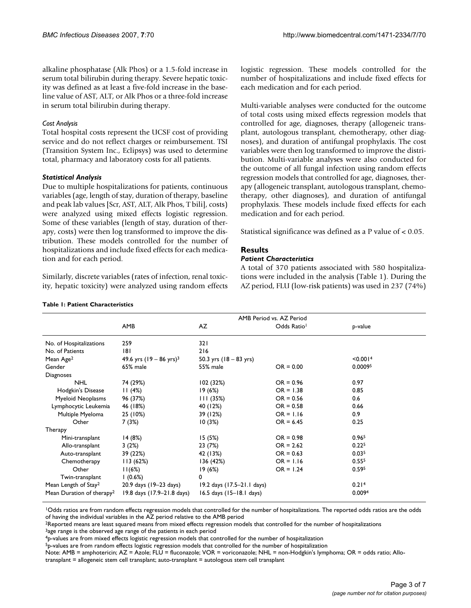alkaline phosphatase (Alk Phos) or a 1.5-fold increase in serum total bilirubin during therapy. Severe hepatic toxicity was defined as at least a five-fold increase in the baseline value of AST, ALT, or Alk Phos or a three-fold increase in serum total bilirubin during therapy.

#### *Cost Analysis*

Total hospital costs represent the UCSF cost of providing service and do not reflect charges or reimbursement. TSI (Transition System Inc., Eclipsys) was used to determine total, pharmacy and laboratory costs for all patients.

#### *Statistical Analysis*

Due to multiple hospitalizations for patients, continuous variables (age, length of stay, duration of therapy, baseline and peak lab values [Scr, AST, ALT, Alk Phos, T bili], costs) were analyzed using mixed effects logistic regression. Some of these variables (length of stay, duration of therapy, costs) were then log transformed to improve the distribution. These models controlled for the number of hospitalizations and include fixed effects for each medication and for each period.

Similarly, discrete variables (rates of infection, renal toxicity, hepatic toxicity) were analyzed using random effects

#### **Table 1: Patient Characteristics**

logistic regression. These models controlled for the number of hospitalizations and include fixed effects for each medication and for each period.

Multi-variable analyses were conducted for the outcome of total costs using mixed effects regression models that controlled for age, diagnoses, therapy (allogeneic transplant, autologous transplant, chemotherapy, other diagnoses), and duration of antifungal prophylaxis. The cost variables were then log transformed to improve the distribution. Multi-variable analyses were also conducted for the outcome of all fungal infection using random effects regression models that controlled for age, diagnoses, therapy (allogeneic transplant, autologous transplant, chemotherapy, other diagnoses), and duration of antifungal prophylaxis. These models include fixed effects for each medication and for each period.

Statistical significance was defined as a P value of < 0.05.

### **Results**

#### *Patient Characteristics*

A total of 370 patients associated with 580 hospitalizations were included in the analysis (Table 1). During the AZ period, FLU (low-risk patients) was used in 237 (74%)

|                                       | AMB Period vs. AZ Period              |                                  |                         |                      |  |
|---------------------------------------|---------------------------------------|----------------------------------|-------------------------|----------------------|--|
|                                       | AMB                                   | AZ.                              | Odds Ratio <sup>1</sup> | p-value              |  |
| No. of Hospitalizations               | 259                                   | 321                              |                         |                      |  |
| No. of Patients                       | 181                                   | 216                              |                         |                      |  |
| Mean Age <sup>2</sup>                 | 49.6 yrs $(19 - 86$ yrs) <sup>3</sup> | 50.3 yrs $(18 - 83 \text{ yrs})$ |                         | < 0.001 <sup>4</sup> |  |
| Gender                                | 65% male                              | 55% male                         | $OR = 0.00$             | 0.00095              |  |
| Diagnoses                             |                                       |                                  |                         |                      |  |
| <b>NHL</b>                            | 74 (29%)                              | 102 (32%)                        | $OR = 0.96$             | 0.97                 |  |
| Hodgkin's Disease                     | 11(4%)                                | 19(6%)                           | $OR = 1.38$             | 0.85                 |  |
| <b>Myeloid Neoplasms</b>              | 96 (37%)                              | 111(35%)                         | $OR = 0.56$             | 0.6                  |  |
| Lymphocytic Leukemia                  | 46 (18%)                              | 40 (12%)                         | $OR = 0.58$             | 0.66                 |  |
| Multiple Myeloma                      | 25 (10%)                              | 39 (12%)                         | $OR = 1.16$             | 0.9                  |  |
| Other                                 | 7 (3%)                                | 10(3%)                           | $OR = 6.45$             | 0.25                 |  |
| Therapy                               |                                       |                                  |                         |                      |  |
| Mini-transplant                       | 14 (8%)                               | 15(5%)                           | $OR = 0.98$             | 0.965                |  |
| Allo-transplant                       | 3(2%)                                 | 23 (7%)                          | $OR = 2.62$             | 0.22 <sup>5</sup>    |  |
| Auto-transplant                       | 39 (22%)                              | 42 (13%)                         | $OR = 0.63$             | 0.03 <sup>5</sup>    |  |
| Chemotherapy                          | 113(62%)                              | 136 (42%)                        | $OR = 1.16$             | 0.55 <sup>5</sup>    |  |
| Other                                 | 11(6%)                                | 19(6%)                           | $OR = 1.24$             | 0.59 <sup>5</sup>    |  |
| Twin-transplant                       | 1(0.6%)                               | 0                                |                         |                      |  |
| Mean Length of Stay <sup>2</sup>      | 20.9 days (19-23 days)                | 19.2 days (17.5-21.1 days)       |                         | 0.214                |  |
| Mean Duration of therapy <sup>2</sup> | 19.8 days (17.9-21.8 days)            | $16.5$ days $(15-18.1$ days)     |                         | 0.0094               |  |

1Odds ratios are from random effects regression models that controlled for the number of hospitalizations. The reported odds ratios are the odds of having the individual variables in the AZ period relative to the AMB period

2Reported means are least squared means from mixed effects regression models that controlled for the number of hospitalizations

<sup>3</sup>age range is the observed age range of the patients in each period

4p-values are from mixed effects logistic regression models that controlled for the number of hospitalization

5p-values are from random effects logistic regression models that controlled for the number of hospitalization

Note: AMB = amphotericin; AZ = Azole; FLU = fluconazole; VOR = voriconazole; NHL = non-Hodgkin's lymphoma; OR = odds ratio; Allotransplant = allogeneic stem cell transplant; auto-transplant = autologous stem cell transplant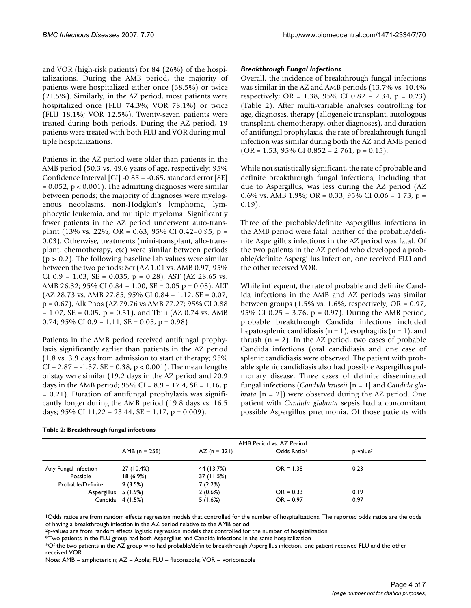and VOR (high-risk patients) for 84 (26%) of the hospitalizations. During the AMB period, the majority of patients were hospitalized either once (68.5%) or twice (21.5%). Similarly, in the AZ period, most patients were hospitalized once (FLU 74.3%; VOR 78.1%) or twice (FLU 18.1%; VOR 12.5%). Twenty-seven patients were treated during both periods. During the AZ period, 19 patients were treated with both FLU and VOR during multiple hospitalizations.

Patients in the AZ period were older than patients in the AMB period (50.3 vs. 49.6 years of age, respectively; 95% Confidence Interval [CI] -0.85 – -0.65, standard error [SE]  $= 0.052$ ,  $p < 0.001$ ). The admitting diagnoses were similar between periods; the majority of diagnoses were myelogenous neoplasms, non-Hodgkin's lymphoma, lymphocytic leukemia, and multiple myeloma. Significantly fewer patients in the AZ period underwent auto-transplant (13% vs. 22%, OR = 0.63, 95% CI 0.42–0.95, p = 0.03). Otherwise, treatments (mini-transplant, allo-transplant, chemotherapy, etc) were similar between periods  $(p > 0.2)$ . The following baseline lab values were similar between the two periods: Scr (AZ 1.01 vs. AMB 0.97; 95% CI 0.9 – 1.03, SE = 0.035, p = 0.28), AST (AZ 28.65 vs. AMB 26.32; 95% CI 0.84 – 1.00, SE = 0.05 p = 0.08), ALT  $(AZ 28.73 \text{ vs. } AMB 27.85; 95\% \text{ CI } 0.84 - 1.12, \text{ SE} = 0.07,$ p = 0.67), Alk Phos (AZ 79.76 vs AMB 77.27; 95% CI 0.88  $- 1.07$ , SE = 0.05, p = 0.51), and Tbili (AZ 0.74 vs. AMB 0.74;  $95\%$  CI 0.9 – 1.11, SE = 0.05, p = 0.98)

Patients in the AMB period received antifungal prophylaxis significantly earlier than patients in the AZ period (1.8 vs. 3.9 days from admission to start of therapy; 95% CI – 2.87 – -1.37, SE = 0.38, p < 0.001). The mean lengths of stay were similar (19.2 days in the AZ period and 20.9 days in the AMB period;  $95\%$  CI = 8.9 – 17.4, SE = 1.16, p  $= 0.21$ ). Duration of antifungal prophylaxis was significantly longer during the AMB period (19.8 days vs. 16.5 days; 95% CI 11.22 – 23.44, SE = 1.17, p = 0.009).

|  | Table 2: Breakthrough fungal infections |  |  |
|--|-----------------------------------------|--|--|
|--|-----------------------------------------|--|--|

#### *Breakthrough Fungal Infections*

Overall, the incidence of breakthrough fungal infections was similar in the AZ and AMB periods (13.7% vs. 10.4% respectively; OR = 1.38, 95% CI 0.82 – 2.34, p = 0.23) (Table 2). After multi-variable analyses controlling for age, diagnoses, therapy (allogeneic transplant, autologous transplant, chemotherapy, other diagnoses), and duration of antifungal prophylaxis, the rate of breakthrough fungal infection was similar during both the AZ and AMB period  $(OR = 1.53, 95\% \text{ CI } 0.852 - 2.761, p = 0.15).$ 

While not statistically significant, the rate of probable and definite breakthrough fungal infections, including that due to Aspergillus, was less during the AZ period (AZ 0.6% vs. AMB 1.9%; OR = 0.33, 95% CI 0.06 - 1.73, p = 0.19).

Three of the probable/definite Aspergillus infections in the AMB period were fatal; neither of the probable/definite Aspergillus infections in the AZ period was fatal. Of the two patients in the AZ period who developed a probable/definite Aspergillus infection, one received FLU and the other received VOR.

While infrequent, the rate of probable and definite Candida infections in the AMB and AZ periods was similar between groups (1.5% vs. 1.6%, respectively;  $OR = 0.97$ , 95% CI 0.25 – 3.76, p = 0.97). During the AMB period, probable breakthrough Candida infections included hepatosplenic candidiasis  $(n = 1)$ , esophagitis  $(n = 1)$ , and thrush  $(n = 2)$ . In the AZ period, two cases of probable Candida infections (oral candidiasis and one case of splenic candidiasis were observed. The patient with probable splenic candidiasis also had possible Aspergillus pulmonary disease. Three cases of definite disseminated fungal infections (*Candida kruseii* [n = 1] and *Candida glabrata* [n = 2]) were observed during the AZ period. One patient with *Candida glabrata* sepsis had a concomitant possible Aspergillus pneumonia. Of those patients with

|                      | AMB Period vs. AZ Period |                |                         |            |  |
|----------------------|--------------------------|----------------|-------------------------|------------|--|
|                      | AMB ( $n = 259$ )        | $AZ (n = 321)$ | Odds Ratio <sup>1</sup> | $p-value2$ |  |
| Any Fungal Infection | 27 (10.4%)               | 44 (13.7%)     | $OR = 1.38$             | 0.23       |  |
| Possible             | 18(6.9%)                 | 37 (11.5%)     |                         |            |  |
| Probable/Definite    | 9(3.5%)                  | 7(2.2%)        |                         |            |  |
| Aspergillus 5 (1.9%) |                          | 2(0.6%)        | $OR = 0.33$             | 0.19       |  |
| Candida $4(1.5%)$    |                          | 5(1.6%)        | $OR = 0.97$             | 0.97       |  |

1Odds ratios are from random effects regression models that controlled for the number of hospitalizations. The reported odds ratios are the odds of having a breakthrough infection in the AZ period relative to the AMB period

 $2<sub>p</sub>$ -values are from random effects logistic regression models that controlled for the number of hospitalization

\*Two patients in the FLU group had both Aspergillus and Candida infections in the same hospitalization

\*Of the two patients in the AZ group who had probable/definite breakthrough Aspergillus infection, one patient received FLU and the other received VOR

Note: AMB = amphotericin; AZ = Azole; FLU = fluconazole; VOR = voriconazole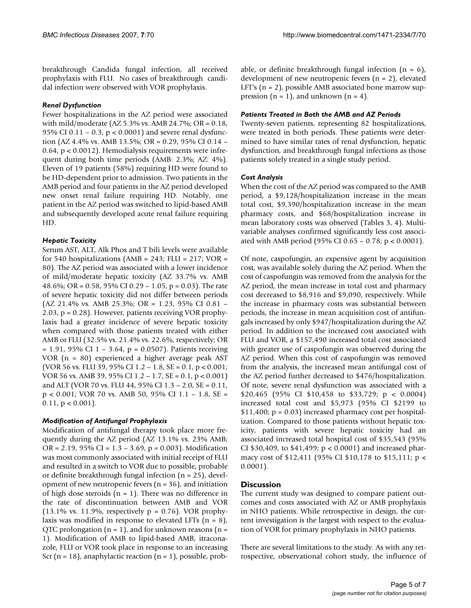breakthrough Candida fungal infection, all received prophylaxis with FLU. No cases of breakthrough candidal infection were observed with VOR prophylaxis.

#### *Renal Dysfunction*

Fewer hospitalizations in the AZ period were associated with mild/moderate (AZ 5.3% vs. AMB 24.7%; OR = 0.18, 95% CI 0.11 – 0.3, p < 0.0001) and severe renal dysfunction (AZ 4.4% vs. AMB 13.5%; OR = 0.29, 95% CI 0.14 – 0.64, p < 0.0012). Hemodialysis requirements were infrequent during both time periods (AMB: 2.3%; AZ: 4%). Eleven of 19 patients (58%) requiring HD were found to be HD-dependent prior to admission. Two patients in the AMB period and four patients in the AZ period developed new onset renal failure requiring HD. Notably, one patient in the AZ period was switched to lipid-based AMB and subsequently developed acute renal failure requiring HD.

### *Hepatic Toxicity*

Serum AST, ALT, Alk Phos and T bili levels were available for 540 hospitalizations ( $AMB = 243$ ; FLU = 217; VOR = 80). The AZ period was associated with a lower incidence of mild/moderate hepatic toxicity (AZ 33.7% vs. AMB 48.6%; OR = 0.58, 95% CI 0.29 – 1.05, p = 0.03). The rate of severe hepatic toxicity did not differ between periods (AZ 21.4% vs. AMB 25.3%; OR = 1.23, 95% CI 0.81 – 2.03, p = 0.28). However, patients receiving VOR prophylaxis had a greater incidence of severe hepatic toxicity when compared with those patients treated with either AMB or FLU (32.5% vs. 21.4% vs. 22.6%, respectively; OR  $= 1.91$ , 95% CI 1 – 3.64, p = 0.0507). Patients receiving VOR (n = 80) experienced a higher average peak AST (VOR 56 vs. FLU 39, 95% CI 1.2 – 1.8, SE = 0.1, p < 0.001; VOR 56 vs. AMB 39, 95% CI 1.2 – 1.7, SE = 0.1, p < 0.001) and ALT (VOR 70 vs. FLU 44, 95% CI 1.3 – 2.0, SE = 0.11, p < 0.001; VOR 70 vs. AMB 50, 95% CI 1.1 – 1.8, SE =  $0.11$ ,  $p < 0.001$ ).

### *Modification of Antifungal Prophylaxis*

Modification of antifungal therapy took place more frequently during the AZ period (AZ 13.1% vs. 23% AMB; OR = 2.19, 95% CI = 1.3 – 3.69, p = 0.003). Modification was most commonly associated with initial receipt of FLU and resulted in a switch to VOR due to possible, probable or definite breakthrough fungal infection (n = 25), development of new neutropenic fevers  $(n = 36)$ , and initiation of high dose steroids  $(n = 1)$ . There was no difference in the rate of discontinuation between AMB and VOR  $(13.1\% \text{ vs. } 11.9\%$ , respectively  $p = 0.76$ ). VOR prophylaxis was modified in response to elevated LFTs  $(n = 8)$ , QTC prolongation ( $n = 1$ ), and for unknown reasons ( $n = 1$ ) 1). Modification of AMB to lipid-based AMB, itraconazole, FLU or VOR took place in response to an increasing Scr  $(n = 18)$ , anaphylactic reaction  $(n = 1)$ , possible, probable, or definite breakthrough fungal infection  $(n = 6)$ , development of new neutropenic fevers (n = 2), elevated LFT's  $(n = 2)$ , possible AMB associated bone marrow suppression  $(n = 1)$ , and unknown  $(n = 4)$ .

#### *Patients Treated in Both the AMB and AZ Periods*

Twenty-seven patients, representing 82 hospitalizations, were treated in both periods. These patients were determined to have similar rates of renal dysfunction, hepatic dysfunction, and breakthrough fungal infections as those patients solely treated in a single study period.

#### *Cost Analysis*

When the cost of the AZ period was compared to the AMB period, a \$9,128/hospitalization increase in the mean total cost, \$9,390/hospitalization increase in the mean pharmacy costs, and \$68/hospitalization increase in mean laboratory costs was observed (Tables 3, 4). Multivariable analyses confirmed significantly less cost associated with AMB period (95% CI 0.65 – 0.78; p < 0.0001).

Of note, caspofungin, an expensive agent by acquisition cost, was available solely during the AZ period. When the cost of caspofungin was removed from the analysis for the AZ period, the mean increase in total cost and pharmacy cost decreased to \$8,916 and \$9,090, respectively. While the increase in pharmacy costs was substantial between periods, the increase in mean acquisition cost of antifungals increased by only \$947/hospitalization during the AZ period. In addition to the increased cost associated with FLU and VOR, a \$157,490 increased total cost associated with greater use of caspofungin was observed during the AZ period. When this cost of caspofungin was removed from the analysis, the increased mean antifungal cost of the AZ period further decreased to \$476/hospitalization. Of note, severe renal dysfunction was associated with a \$20,465 (95% CI \$10,458 to \$33,729; p < 0.0004) increased total cost and \$5,973 (95% CI \$2199 to  $$11,400; p = 0.03$  increased pharmacy cost per hospitalization. Compared to those patients without hepatic toxicity, patients with severe hepatic toxicity had an associated increased total hospital cost of \$35,543 (95% CI \$30,409, to \$41,499; p < 0.0001) and increased pharmacy cost of \$12,411 (95% CI \$10,178 to \$15,111; p < 0.0001).

### **Discussion**

The current study was designed to compare patient outcomes and costs associated with AZ or AMB prophylaxis in NHO patients. While retrospective in design, the current investigation is the largest with respect to the evaluation of VOR for primary prophylaxis in NHO patients.

There are several limitations to the study. As with any retrospective, observational cohort study, the influence of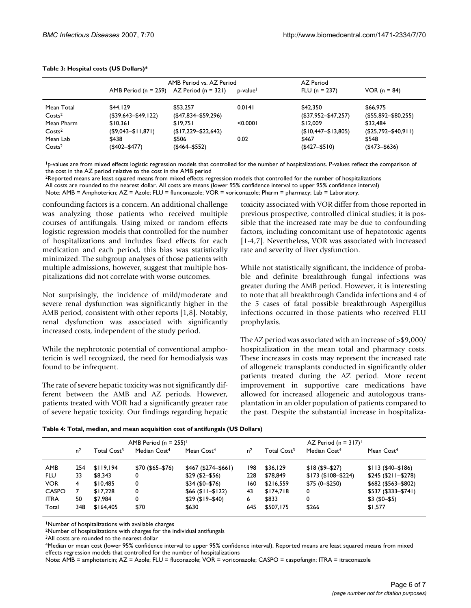|                    | AMB Period vs. AZ Period                         |                       |                      | AZ Period              |                        |  |
|--------------------|--------------------------------------------------|-----------------------|----------------------|------------------------|------------------------|--|
|                    | AMB Period ( $n = 259$ ) AZ Period ( $n = 321$ ) |                       | p-value <sup>1</sup> | FLU (n = 237)          | $VOR (n = 84)$         |  |
| Mean Total         | \$44.129                                         | \$53,257              | 0.0141               | \$42,350               | \$66,975               |  |
| Costs <sup>2</sup> | $($ \$39,643–\$49,122)                           | $(47,834 - 559,296)$  |                      | $($ \$37,952-\$47,257) | $($ \$55,892–\$80,255) |  |
| Mean Pharm         | \$10.361                                         | \$19.751              | < 0.0001             | \$12,009               | \$32,484               |  |
| Costs <sup>2</sup> | $($ \$9,043–\$11,871)                            | $($17,229 - $22,642)$ |                      | $($10,447 - $13,805)$  | $($ \$25,792–\$40,911) |  |
| Mean Lab           | \$438                                            | \$506                 | 0.02                 | \$467                  | \$548                  |  |
| Costs <sup>2</sup> | $($402 - $477)$                                  | $($464 - $552)$       |                      | $(427 - 510)$          | $($473 - $636)$        |  |

#### **Table 3: Hospital costs (US Dollars)\***

<sup>1</sup>p-values are from mixed effects logistic regression models that controlled for the number of hospitalizations. P-values reflect the comparison of the cost in the AZ period relative to the cost in the AMB period

2Reported means are least squared means from mixed effects regression models that controlled for the number of hospitalizations All costs are rounded to the nearest dollar. All costs are means (lower 95% confidence interval to upper 95% confidence interval) Note: AMB = Amphotericn; AZ = Azole; FLU = flunconazole; VOR = voriconazole; Pharm = pharmacy; Lab = Laboratory.

confounding factors is a concern. An additional challenge was analyzing those patients who received multiple courses of antifungals. Using mixed or random effects logistic regression models that controlled for the number of hospitalizations and includes fixed effects for each medication and each period, this bias was statistically minimized. The subgroup analyses of those patients with multiple admissions, however, suggest that multiple hospitalizations did not correlate with worse outcomes.

Not surprisingly, the incidence of mild/moderate and severe renal dysfunction was significantly higher in the AMB period, consistent with other reports [1,8]. Notably, renal dysfunction was associated with significantly increased costs, independent of the study period.

While the nephrotoxic potential of conventional amphotericin is well recognized, the need for hemodialysis was found to be infrequent.

The rate of severe hepatic toxicity was not significantly different between the AMB and AZ periods. However, patients treated with VOR had a significantly greater rate of severe hepatic toxicity. Our findings regarding hepatic toxicity associated with VOR differ from those reported in previous prospective, controlled clinical studies; it is possible that the increased rate may be due to confounding factors, including concomitant use of hepatotoxic agents [1-4,7]. Nevertheless, VOR was associated with increased rate and severity of liver dysfunction.

While not statistically significant, the incidence of probable and definite breakthrough fungal infections was greater during the AMB period. However, it is interesting to note that all breakthrough Candida infections and 4 of the 5 cases of fatal possible breakthrough Aspergillus infections occurred in those patients who received FLU prophylaxis.

The AZ period was associated with an increase of >\$9,000/ hospitalization in the mean total and pharmacy costs. These increases in costs may represent the increased rate of allogeneic transplants conducted in significantly older patients treated during the AZ period. More recent improvement in supportive care medications have allowed for increased allogeneic and autologous transplantation in an older population of patients compared to the past. Despite the substantial increase in hospitaliza-

|  | Table 4: Total, median, and mean acquisition cost of antifungals (US Dollars) |  |  |  |
|--|-------------------------------------------------------------------------------|--|--|--|
|--|-------------------------------------------------------------------------------|--|--|--|

|              | AMB Period (n = $255$ ) <sup>1</sup> |                         |                          |                        | AZ Period (n = $317$ ) <sup>1</sup> |                         |                          |                        |
|--------------|--------------------------------------|-------------------------|--------------------------|------------------------|-------------------------------------|-------------------------|--------------------------|------------------------|
|              | n <sup>2</sup>                       | Total Cost <sup>3</sup> | Median Cost <sup>4</sup> | Mean Cost <sup>4</sup> | n <sup>2</sup>                      | Total Cost <sup>3</sup> | Median Cost <sup>4</sup> | Mean Cost <sup>4</sup> |
| <b>AMB</b>   | 254                                  | \$119,194               | \$70 (\$65-\$76)         | \$467 (\$274–\$661)    | 198                                 | \$36,129                | $$18($9 - $27)$          | \$113(\$40–\$186)      |
| <b>FLU</b>   | 33                                   | \$8,343                 | 0                        | $$29 ($2 - $56)$       | 228                                 | \$78,849                | $$173 ($108 - $224)$     | $$245 ($211 - $278)$   |
| <b>VOR</b>   | 4                                    | \$10,485                | 0                        | $$34 ($0 - $76)$       | 160                                 | \$216,559               | \$75 (0-\$250)           | \$682 (\$563-\$802)    |
| <b>CASPO</b> |                                      | \$17,228                | 0                        | $$66 ($11 - $122)$     | 43                                  | \$174,718               | 0                        | \$537 (\$333–\$741)    |
| <b>ITRA</b>  | 50                                   | \$7,984                 | 0                        | $$29($19-$40)$         | 6                                   | \$833                   | 0                        | $$3($0-$5)$            |
| Total        | 348                                  | \$164,405               | \$70                     | \$630                  | 645                                 | \$507,175               | \$266                    | \$1,577                |

1Number of hospitalizations with available charges

2Number of hospitalizations with charges for the individual antifungals

<sup>3</sup>All costs are rounded to the nearest dollar

4Median or mean cost (lower 95% confidence interval to upper 95% confidence interval). Reported means are least squared means from mixed effects regression models that controlled for the number of hospitalizations

Note: AMB = amphotericin; AZ = Azole; FLU = fluconazole; VOR = voriconazole; CASPO = caspofungin; ITRA = itraconazole